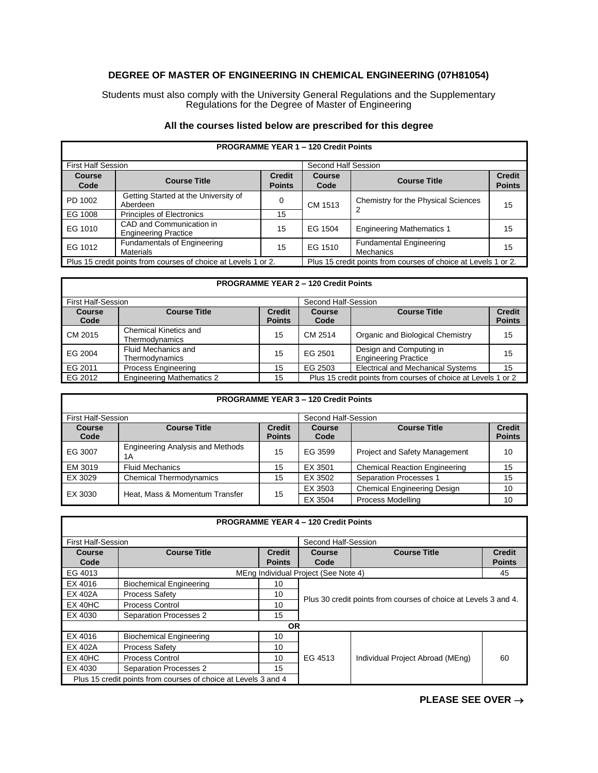## **DEGREE OF MASTER OF ENGINEERING IN CHEMICAL ENGINEERING (07H81054)**

Students must also comply with the University General Regulations and the Supplementary Regulations for the Degree of Master of Engineering

|  |  | All the courses listed below are prescribed for this degree |  |  |
|--|--|-------------------------------------------------------------|--|--|
|--|--|-------------------------------------------------------------|--|--|

| <b>PROGRAMME TEAR T-T20 Great Points</b>                       |                                                         |                                |                       |                                                                |                                |
|----------------------------------------------------------------|---------------------------------------------------------|--------------------------------|-----------------------|----------------------------------------------------------------|--------------------------------|
| <b>First Half Session</b>                                      |                                                         |                                | Second Half Session   |                                                                |                                |
| Course<br>Code                                                 | <b>Course Title</b>                                     | <b>Credit</b><br><b>Points</b> | <b>Course</b><br>Code | <b>Course Title</b>                                            | <b>Credit</b><br><b>Points</b> |
| PD 1002                                                        | Getting Started at the University of<br>Aberdeen        | 0                              | CM 1513               | Chemistry for the Physical Sciences                            | 15                             |
| EG 1008                                                        | <b>Principles of Electronics</b>                        | 15                             |                       |                                                                |                                |
| EG 1010                                                        | CAD and Communication in<br><b>Engineering Practice</b> | 15                             | EG 1504               | <b>Engineering Mathematics 1</b>                               | 15                             |
| EG 1012                                                        | Fundamentals of Engineering<br><b>Materials</b>         | 15                             | EG 1510               | <b>Fundamental Engineering</b><br><b>Mechanics</b>             | 15                             |
| Plus 15 credit points from courses of choice at Levels 1 or 2. |                                                         |                                |                       | Plus 15 credit points from courses of choice at Levels 1 or 2. |                                |

## **PROGRAMME YEAR 1 – 120 Credit Points**

## **PROGRAMME YEAR 2 – 120 Credit Points**

| <b>First Half-Session</b> |                                                |                                | Second Half-Session                                           |                                                        |                                |
|---------------------------|------------------------------------------------|--------------------------------|---------------------------------------------------------------|--------------------------------------------------------|--------------------------------|
| <b>Course</b><br>Code     | <b>Course Title</b>                            | <b>Credit</b><br><b>Points</b> | <b>Course</b><br>Code                                         | <b>Course Title</b>                                    | <b>Credit</b><br><b>Points</b> |
| CM 2015                   | <b>Chemical Kinetics and</b><br>Thermodynamics | 15                             | CM 2514                                                       | Organic and Biological Chemistry                       | 15                             |
| EG 2004                   | Fluid Mechanics and<br>Thermodynamics          | 15                             | EG 2501                                                       | Design and Computing in<br><b>Engineering Practice</b> | 15                             |
| EG 2011                   | <b>Process Engineering</b>                     | 15                             | EG 2503                                                       | <b>Electrical and Mechanical Systems</b>               | 15                             |
| EG 2012                   | <b>Engineering Mathematics 2</b>               | 15                             | Plus 15 credit points from courses of choice at Levels 1 or 2 |                                                        |                                |

| <b>PROGRAMME YEAR 3 - 120 Credit Points</b> |                                               |                     |         |                                      |               |
|---------------------------------------------|-----------------------------------------------|---------------------|---------|--------------------------------------|---------------|
| <b>First Half-Session</b>                   |                                               | Second Half-Session |         |                                      |               |
| Course                                      | <b>Course Title</b>                           | <b>Credit</b>       | Course  | <b>Course Title</b>                  | <b>Credit</b> |
| Code                                        |                                               | <b>Points</b>       | Code    |                                      | <b>Points</b> |
| EG 3007                                     | <b>Engineering Analysis and Methods</b><br>1A | 15                  | EG 3599 | <b>Project and Safety Management</b> | 10            |
| EM 3019                                     | <b>Fluid Mechanics</b>                        | 15                  | EX 3501 | <b>Chemical Reaction Engineering</b> | 15            |
| EX 3029                                     | <b>Chemical Thermodynamics</b>                | 15                  | EX 3502 | <b>Separation Processes 1</b>        | 15            |
|                                             |                                               | 15                  | EX 3503 | <b>Chemical Engineering Design</b>   | 10            |
| EX 3030                                     | Heat, Mass & Momentum Transfer                |                     | EX 3504 | Process Modelling                    | 10            |

| <b>PROGRAMME YEAR 4 - 120 Credit Points</b>                    |                                |               |                                                                 |                                  |               |
|----------------------------------------------------------------|--------------------------------|---------------|-----------------------------------------------------------------|----------------------------------|---------------|
| <b>First Half-Session</b>                                      |                                |               | Second Half-Session                                             |                                  |               |
| Course                                                         | <b>Course Title</b>            | <b>Credit</b> | <b>Course</b>                                                   | <b>Course Title</b>              | <b>Credit</b> |
| Code                                                           |                                | <b>Points</b> | Code                                                            |                                  | <b>Points</b> |
| EG 4013<br>MEng Individual Project (See Note 4)<br>45          |                                |               |                                                                 |                                  |               |
| EX 4016                                                        | <b>Biochemical Engineering</b> | 10            | Plus 30 credit points from courses of choice at Levels 3 and 4. |                                  |               |
| EX 402A                                                        | <b>Process Safety</b>          | 10            |                                                                 |                                  |               |
| EX 40HC                                                        | <b>Process Control</b>         | 10            |                                                                 |                                  |               |
| EX 4030                                                        | <b>Separation Processes 2</b>  | 15            |                                                                 |                                  |               |
| <b>OR</b>                                                      |                                |               |                                                                 |                                  |               |
| EX 4016                                                        | <b>Biochemical Engineering</b> | 10            |                                                                 |                                  |               |
| EX 402A                                                        | <b>Process Safety</b>          | 10            | EG 4513                                                         | Individual Project Abroad (MEng) | 60            |
| $EX$ 40HC                                                      | Process Control                | 10            |                                                                 |                                  |               |
| EX 4030                                                        | <b>Separation Processes 2</b>  | 15            |                                                                 |                                  |               |
| Plus 15 credit points from courses of choice at Levels 3 and 4 |                                |               |                                                                 |                                  |               |

**PLEASE SEE OVER** →